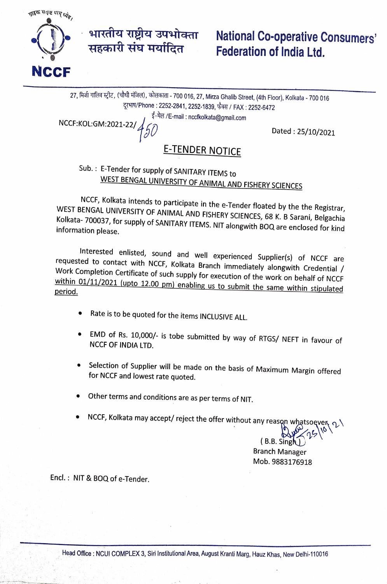

## भारतीय राष्ट्रीय उपभोक्ता National Co-operative Consumers' Federation of India Ltd.

27, मिजी गालिव स्ट्रीट, (चौथी मंजिल), कोलकाता - 700 016, 27, Mirza Ghalib Street, (4th Floor), Kolkata - 700 016 दूरभाष/Phone : 2252-2841, 2252-1839, फैक्स / FAX : 2252-6472

ई-मेल /E-mail: nccfkolkata@gmail.com

 $NCCF:KOL:GM:2021-22/\frac{1}{\sqrt{5}}$  Dated : 25/10/2021

## E-TENDER NOTICE

# Sub. E-Tender for supply of SANITARY ITEMS to WEST BENGAL UNIVERSITY OF ANIMAL AND FISHERY SCIENCES

NCCF, Kolkata intends to participate in the e-Tender floated by the the Registrar, WEST BENGAL UNIVERSITY OF ANIMAL AND FISHERY SCIENCES, 68 K. B Sarani, Belgachia Kolkata-700037, for WEST BENGAL ONIVERSITY OF ANIMAL AND FISHERY SCIENCES, 68 K. B Sarani, Belgachia<br>Kolkata- 700037, for supply of SANITARY ITEMS. NIT alongwith BOQ are enclosed for kind<br>information please.

Interested enlisted, sound and well experienced Supplier(s) of NCCF are<br>requested to contact with NCCF, Kolkata Branch immediately alongwith Credential /<br>Work Completion Certificate of such supply for execution of the work period. within 01/11/2021 (upto 12.00 pm) enabling us to submit the same within stipulated

- Rate is to be quoted for the items INCLUSIVE ALL.
- EMD of Rs. 10,000/- is tobe submitted by way of RTGS/ NEFT in favour of NCCF OF INDIA LTD.
- Selection of Supplier will be made on the basis of Maximum Margin offered for NCCF and lowest rate quoted.
- Other terms and conditions are as per terms of NIT.
- NCCF, Kolkata may accept/ reject the offer without any reason whatsoever  $\Omega$

(B.B. Sing Branch Manager Mob. 9883176918

Encl.: NIT & BOQ of e-Tender.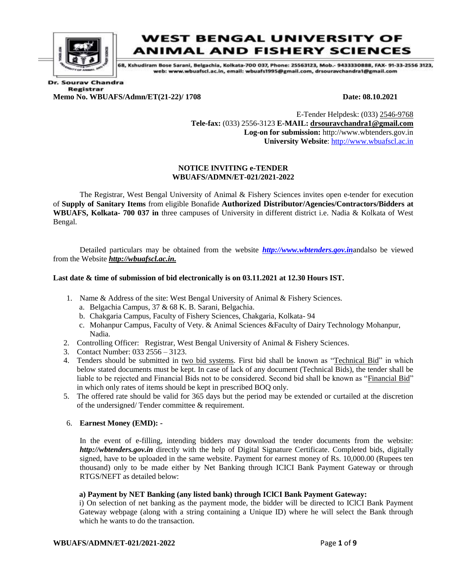

### **WEST BENGAL UNIVERSITY OF ANIMAL AND FISHERY SCIENCES**

68. Kshudiram Bose Sarani, Belgachia, Kolkata-700 037, Phone: 25563123, Mob.- 9433330888, FAX- 91-33-2556 3123, web: www.wbuafscl.ac.in, email: wbuafs1995@gmail.com, drsouravchandra1@gmail.com

**Dr. Sourav Chandra Registrar Memo No. WBUAFS/Admn/ET(21-22)/ 1708 Date: 08.10.2021** 

E-Tender Helpdesk: (033) 2546-9768 **Tele-fax:** (033) 2556-3123 **E-MAIL: drsouravchandra1@gmail.com Log-on for submission:** http://www.wbtenders.gov.in **University Website**: [http://www.wbuafscl.ac.in](http://www.wbuafscl.ac.in/)

#### **NOTICE INVITING e-TENDER WBUAFS/ADMN/ET-021/2021-2022**

The Registrar, West Bengal University of Animal & Fishery Sciences invites open e-tender for execution of **Supply of Sanitary Items** from eligible Bonafide **Authorized Distributor/Agencies/Contractors/Bidders at WBUAFS, Kolkata- 700 037 in** three campuses of University in different district i.e. Nadia & Kolkata of West Bengal.

Detailed particulars may be obtained from the website *[http://www.wbtenders.gov.in](http://www.wbtenders.gov.in/)*andalso be viewed from the Website *http://wbuafscl.ac.in.*

#### **Last date & time of submission of bid electronically is on 03.11.2021 at 12.30 Hours IST.**

- 1. Name & Address of the site: West Bengal University of Animal & Fishery Sciences.
	- a. Belgachia Campus, 37 & 68 K. B. Sarani, Belgachia.
	- b. Chakgaria Campus, Faculty of Fishery Sciences, Chakgaria, Kolkata- 94
	- c. Mohanpur Campus, Faculty of Vety. & Animal Sciences &Faculty of Dairy Technology Mohanpur, Nadia.
- 2. Controlling Officer: Registrar, West Bengal University of Animal & Fishery Sciences.
- 3. Contact Number: 033 2556 3123.
- 4. Tenders should be submitted in two bid systems. First bid shall be known as "Technical Bid" in which below stated documents must be kept. In case of lack of any document (Technical Bids), the tender shall be liable to be rejected and Financial Bids not to be considered. Second bid shall be known as "Financial Bid" in which only rates of items should be kept in prescribed BOQ only.
- 5. The offered rate should be valid for 365 days but the period may be extended or curtailed at the discretion of the undersigned/ Tender committee & requirement.

#### 6. **Earnest Money (EMD): -**

In the event of e-filling, intending bidders may download the tender documents from the website: *http://wbtenders.gov.in* directly with the help of Digital Signature Certificate. Completed bids, digitally signed, have to be uploaded in the same website. Payment for earnest money of Rs. 10,000.00 (Rupees ten thousand) only to be made either by Net Banking through ICICI Bank Payment Gateway or through RTGS/NEFT as detailed below:

#### **a) Payment by NET Banking (any listed bank) through IClCI Bank Payment Gateway:**

i) On selection of net banking as the payment mode, the bidder will be directed to IClCI Bank Payment Gateway webpage (along with a string containing a Unique ID) where he will select the Bank through which he wants to do the transaction.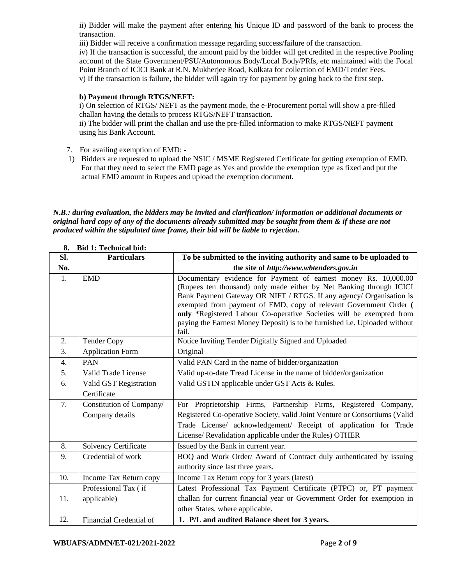ii) Bidder will make the payment after entering his Unique ID and password of the bank to process the transaction.

iii) Bidder will receive a confirmation message regarding success/failure of the transaction.

iv) If the transaction is successful, the amount paid by the bidder will get credited in the respective Pooling account of the State Government/PSU/Autonomous Body/Local Body/PRIs, etc maintained with the Focal Point Branch of IClCI Bank at R.N. Mukherjee Road, Kolkata for collection of EMD/Tender Fees. v) If the transaction is failure, the bidder will again try for payment by going back to the first step.

#### **b) Payment through RTGS/NEFT:**

i) On selection of RTGS/ NEFT as the payment mode, the e-Procurement portal will show a pre-filled challan having the details to process RTGS/NEFT transaction.

ii) The bidder will print the challan and use the pre-filled information to make RTGS/NEFT payment using his Bank Account.

- 7. For availing exemption of EMD: -
- 1) Bidders are requested to upload the NSIC / MSME Registered Certificate for getting exemption of EMD. For that they need to select the EMD page as Yes and provide the exemption type as fixed and put the actual EMD amount in Rupees and upload the exemption document.

*N.B.: during evaluation, the bidders may be invited and clarification/ information or additional documents or original hard copy of any of the documents already submitted may be sought from them & if these are not produced within the stipulated time frame, their bid will be liable to rejection.*

| Sl. | <b>Particulars</b>       | To be submitted to the inviting authority and same to be uploaded to                                                                               |  |
|-----|--------------------------|----------------------------------------------------------------------------------------------------------------------------------------------------|--|
| No. |                          | the site of http://www.wbtenders.gov.in                                                                                                            |  |
| 1.  | <b>EMD</b>               | Documentary evidence for Payment of earnest money Rs. 10,000.00                                                                                    |  |
|     |                          | (Rupees ten thousand) only made either by Net Banking through ICICI                                                                                |  |
|     |                          | Bank Payment Gateway OR NIFT / RTGS. If any agency/ Organisation is                                                                                |  |
|     |                          | exempted from payment of EMD, copy of relevant Government Order (                                                                                  |  |
|     |                          | only *Registered Labour Co-operative Societies will be exempted from<br>paying the Earnest Money Deposit) is to be furnished i.e. Uploaded without |  |
|     |                          | fail.                                                                                                                                              |  |
| 2.  | <b>Tender Copy</b>       | Notice Inviting Tender Digitally Signed and Uploaded                                                                                               |  |
| 3.  | <b>Application Form</b>  | Original                                                                                                                                           |  |
| 4.  | <b>PAN</b>               | Valid PAN Card in the name of bidder/organization                                                                                                  |  |
| 5.  | Valid Trade License      | Valid up-to-date Tread License in the name of bidder/organization                                                                                  |  |
| 6.  | Valid GST Registration   | Valid GSTIN applicable under GST Acts & Rules.                                                                                                     |  |
|     | Certificate              |                                                                                                                                                    |  |
| 7.  | Constitution of Company/ | For Proprietorship Firms, Partnership Firms, Registered Company,                                                                                   |  |
|     | Company details          | Registered Co-operative Society, valid Joint Venture or Consortiums (Valid                                                                         |  |
|     |                          | Trade License/ acknowledgement/ Receipt of application for Trade                                                                                   |  |
|     |                          | License/ Revalidation applicable under the Rules) OTHER                                                                                            |  |
| 8.  | Solvency Certificate     | Issued by the Bank in current year.                                                                                                                |  |
| 9.  | Credential of work       | BOQ and Work Order/ Award of Contract duly authenticated by issuing                                                                                |  |
|     |                          | authority since last three years.                                                                                                                  |  |
| 10. | Income Tax Return copy   | Income Tax Return copy for 3 years (latest)                                                                                                        |  |
|     | Professional Tax (if     | Latest Professional Tax Payment Certificate (PTPC) or, PT payment                                                                                  |  |
| 11. | applicable)              | challan for current financial year or Government Order for exemption in                                                                            |  |
|     |                          | other States, where applicable.                                                                                                                    |  |
| 12. | Financial Credential of  | 1. P/L and audited Balance sheet for 3 years.                                                                                                      |  |

|  | 8. Bid 1: Technical bid: |  |
|--|--------------------------|--|
|  |                          |  |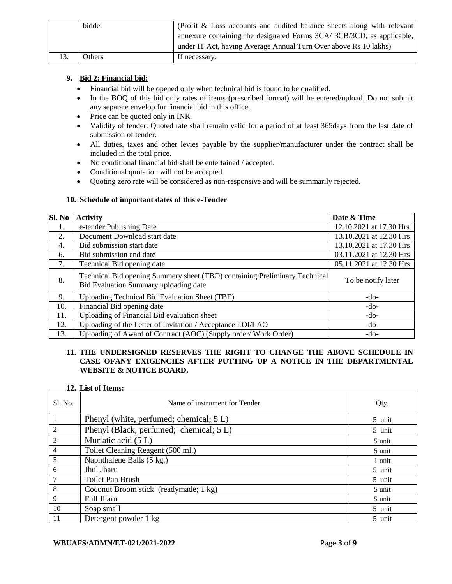|     | bidder | (Profit & Loss accounts and audited balance sheets along with relevant |
|-----|--------|------------------------------------------------------------------------|
|     |        | annexure containing the designated Forms 3CA/3CB/3CD, as applicable,   |
|     |        | under IT Act, having Average Annual Turn Over above Rs 10 lakhs)       |
| 13. | Others | If necessary.                                                          |

#### **9. Bid 2: Financial bid:**

- Financial bid will be opened only when technical bid is found to be qualified.
- In the BOQ of this bid only rates of items (prescribed format) will be entered/upload. Do not submit any separate envelop for financial bid in this office.
- Price can be quoted only in INR.
- Validity of tender: Quoted rate shall remain valid for a period of at least 365days from the last date of submission of tender.
- All duties, taxes and other levies payable by the supplier/manufacturer under the contract shall be included in the total price.
- No conditional financial bid shall be entertained / accepted.
- Conditional quotation will not be accepted.
- Quoting zero rate will be considered as non-responsive and will be summarily rejected.

#### **10. Schedule of important dates of this e-Tender**

| Sl. No | <b>Activity</b>                                                                                                     | Date & Time             |
|--------|---------------------------------------------------------------------------------------------------------------------|-------------------------|
| 1.     | e-tender Publishing Date                                                                                            | 12.10.2021 at 17.30 Hrs |
| 2.     | Document Download start date                                                                                        | 13.10.2021 at 12.30 Hrs |
| 4.     | Bid submission start date                                                                                           | 13.10.2021 at 17.30 Hrs |
| 6.     | Bid submission end date                                                                                             | 03.11.2021 at 12.30 Hrs |
| 7.     | Technical Bid opening date                                                                                          | 05.11.2021 at 12.30 Hrs |
| 8.     | Technical Bid opening Summery sheet (TBO) containing Preliminary Technical<br>Bid Evaluation Summary uploading date | To be notify later      |
| 9.     | <b>Uploading Technical Bid Evaluation Sheet (TBE)</b>                                                               | $-do-$                  |
| 10.    | Financial Bid opening date                                                                                          | $-do-$                  |
| 11.    | Uploading of Financial Bid evaluation sheet                                                                         | $-do-$                  |
| 12.    | Uploading of the Letter of Invitation / Acceptance LOI/LAO                                                          | $-do-$                  |
| 13.    | Uploading of Award of Contract (AOC) (Supply order/ Work Order)                                                     | $-do-$                  |

#### **11. THE UNDERSIGNED RESERVES THE RIGHT TO CHANGE THE ABOVE SCHEDULE IN CASE OFANY EXIGENCIES AFTER PUTTING UP A NOTICE IN THE DEPARTMENTAL WEBSITE & NOTICE BOARD.**

#### **12. List of Items:**

| S1. No.       | Name of instrument for Tender           | Qty.   |
|---------------|-----------------------------------------|--------|
|               | Phenyl (white, perfumed; chemical; 5 L) | 5 unit |
| $\mathcal{D}$ | Phenyl (Black, perfumed; chemical; 5 L) | 5 unit |
| 3             | Muriatic acid (5 L)                     | 5 unit |
| 4             | Toilet Cleaning Reagent (500 ml.)       | 5 unit |
| 5             | Naphthalene Balls (5 kg.)               | 1 unit |
| 6             | Jhul Jharu                              | 5 unit |
|               | Toilet Pan Brush                        | 5 unit |
| 8             | Coconut Broom stick (readymade; 1 kg)   | 5 unit |
| $\mathbf{Q}$  | <b>Full Jharu</b>                       | 5 unit |
| 10            | Soap small                              | 5 unit |
| 11            | Detergent powder 1 kg                   | 5 unit |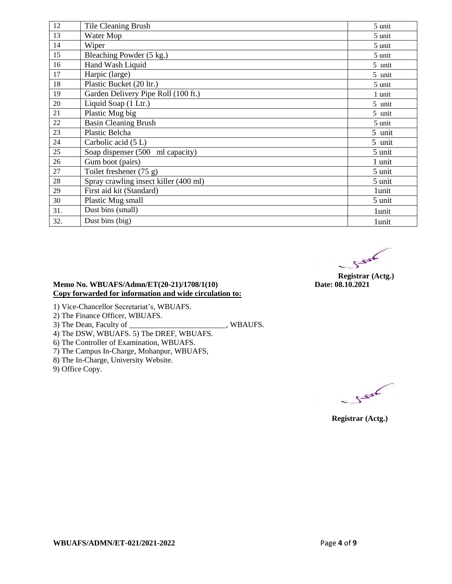| 12  | Tile Cleaning Brush                   | 5 unit |
|-----|---------------------------------------|--------|
| 13  | Water Mop                             | 5 unit |
| 14  | Wiper                                 | 5 unit |
| 15  | Bleaching Powder (5 kg.)              | 5 unit |
| 16  | Hand Wash Liquid                      | 5 unit |
| 17  | Harpic (large)                        | 5 unit |
| 18  | Plastic Bucket (20 ltr.)              | 5 unit |
| 19  | Garden Delivery Pipe Roll (100 ft.)   | 1 unit |
| 20  | Liquid Soap (1 Ltr.)                  | 5 unit |
| 21  | Plastic Mug big                       | 5 unit |
| 22  | <b>Basin Cleaning Brush</b>           | 5 unit |
| 23  | <b>Plastic Belcha</b>                 | 5 unit |
| 24  | Carbolic acid (5 L)                   | 5 unit |
| 25  | Soap dispenser (500 ml capacity)      | 5 unit |
| 26  | Gum boot (pairs)                      | 1 unit |
| 27  | Toilet freshener (75 g)               | 5 unit |
| 28  | Spray crawling insect killer (400 ml) | 5 unit |
| 29  | First aid kit (Standard)              | 1unit  |
| 30  | Plastic Mug small                     | 5 unit |
| 31. | Dust bins (small)                     | 1unit  |
| 32. | Dust bins (big)                       | 1unit  |

 $5 - 5$ 

**Registrar (Actg.)**<br>Date: 08.10.2021

#### **Memo No. WBUAFS/Admn/ET(20-21)/1708/1(10) Copy forwarded for information and wide circulation to:**

1) Vice-Chancellor Secretariat's, WBUAFS.

2) The Finance Officer, WBUAFS.

3) The Dean, Faculty of \_\_\_\_\_\_\_\_\_\_\_\_\_\_\_\_\_\_\_\_\_\_\_\_\_, WBAUFS.

4) The DSW, WBUAFS. 5) The DREF, WBUAFS.

6) The Controller of Examination, WBUAFS.

7) The Campus In-Charge, Mohanpur, WBUAFS,

8) The In-Charge, University Website.

9) Office Copy.

 $5 - 5$ 

 **Registrar (Actg.)**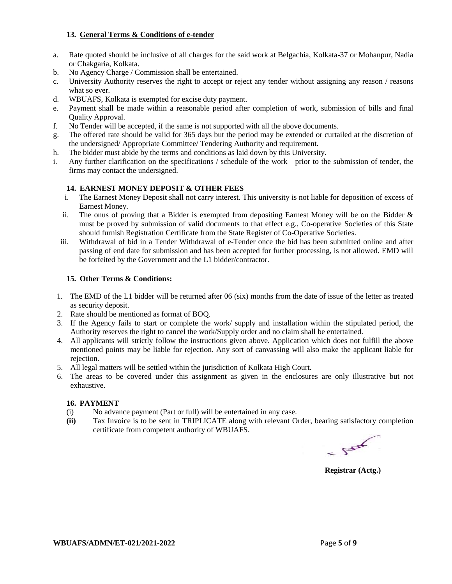#### **13. General Terms & Conditions of e-tender**

- a. Rate quoted should be inclusive of all charges for the said work at Belgachia, Kolkata-37 or Mohanpur, Nadia or Chakgaria, Kolkata.
- b. No Agency Charge / Commission shall be entertained.
- c. University Authority reserves the right to accept or reject any tender without assigning any reason / reasons what so ever.
- d. WBUAFS, Kolkata is exempted for excise duty payment.
- e. Payment shall be made within a reasonable period after completion of work, submission of bills and final Quality Approval.
- f. No Tender will be accepted, if the same is not supported with all the above documents.
- g. The offered rate should be valid for 365 days but the period may be extended or curtailed at the discretion of the undersigned/ Appropriate Committee/ Tendering Authority and requirement.
- h. The bidder must abide by the terms and conditions as laid down by this University.
- i. Any further clarification on the specifications / schedule of the work prior to the submission of tender, the firms may contact the undersigned.

#### **14. EARNEST MONEY DEPOSIT & OTHER FEES**

- i. The Earnest Money Deposit shall not carry interest. This university is not liable for deposition of excess of Earnest Money.
- ii. The onus of proving that a Bidder is exempted from depositing Earnest Money will be on the Bidder & must be proved by submission of valid documents to that effect e.g., Co-operative Societies of this State should furnish Registration Certificate from the State Register of Co-Operative Societies.
- iii. Withdrawal of bid in a Tender Withdrawal of e-Tender once the bid has been submitted online and after passing of end date for submission and has been accepted for further processing, is not allowed. EMD will be forfeited by the Government and the L1 bidder/contractor.

#### **15. Other Terms & Conditions:**

- 1. The EMD of the L1 bidder will be returned after 06 (six) months from the date of issue of the letter as treated as security deposit.
- 2. Rate should be mentioned as format of BOQ.
- 3. If the Agency fails to start or complete the work/ supply and installation within the stipulated period, the Authority reserves the right to cancel the work/Supply order and no claim shall be entertained.
- 4. All applicants will strictly follow the instructions given above. Application which does not fulfill the above mentioned points may be liable for rejection. Any sort of canvassing will also make the applicant liable for rejection.
- 5. All legal matters will be settled within the jurisdiction of Kolkata High Court.
- 6. The areas to be covered under this assignment as given in the enclosures are only illustrative but not exhaustive.

#### **16. PAYMENT**

- (i) No advance payment (Part or full) will be entertained in any case.
- **(ii)** Tax Invoice is to be sent in TRIPLICATE along with relevant Order, bearing satisfactory completion certificate from competent authority of WBUAFS.

 $5 - 5$ 

**Registrar (Actg.)**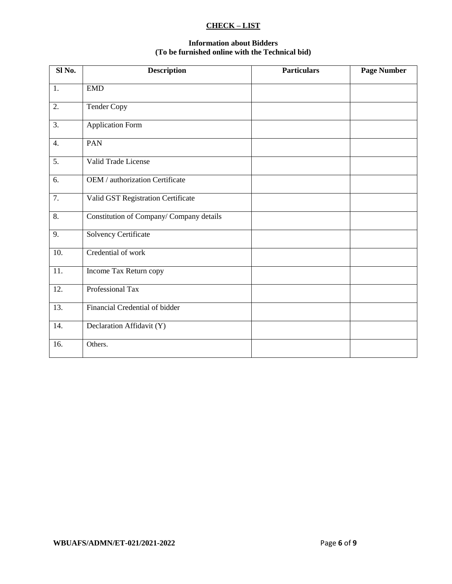#### **CHECK – LIST**

#### **Information about Bidders (To be furnished online with the Technical bid)**

| Sl No.           | <b>Description</b>                      | <b>Particulars</b> | <b>Page Number</b> |
|------------------|-----------------------------------------|--------------------|--------------------|
| 1.               | <b>EMD</b>                              |                    |                    |
| 2.               | Tender Copy                             |                    |                    |
| 3.               | <b>Application Form</b>                 |                    |                    |
| $\overline{4}$ . | PAN                                     |                    |                    |
| 5.               | Valid Trade License                     |                    |                    |
| 6.               | OEM / authorization Certificate         |                    |                    |
| 7.               | Valid GST Registration Certificate      |                    |                    |
| 8.               | Constitution of Company/Company details |                    |                    |
| 9.               | <b>Solvency Certificate</b>             |                    |                    |
| 10.              | Credential of work                      |                    |                    |
| 11.              | Income Tax Return copy                  |                    |                    |
| 12.              | Professional Tax                        |                    |                    |
| 13.              | Financial Credential of bidder          |                    |                    |
| 14.              | Declaration Affidavit (Y)               |                    |                    |
| 16.              | Others.                                 |                    |                    |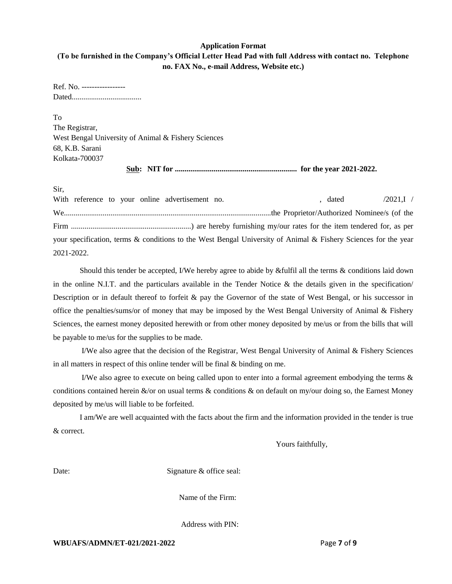#### **Application Format**

#### **(To be furnished in the Company's Official Letter Head Pad with full Address with contact no. Telephone no. FAX No., e-mail Address, Website etc.)**

Ref. No. ----------------- Dated....................................

To The Registrar, West Bengal University of Animal & Fishery Sciences 68, K.B. Sarani Kolkata-700037

**Sub: NIT for ............................................................... for the year 2021-2022.**

Sir,

With reference to your online advertisement no. , dated  $/2021$ ,  $/2021$ ,  $/2021$ ,  $/2021$ ,  $/2021$ ,  $/2021$ ,  $/2021$ ,  $/2021$ ,  $/2021$ ,  $/2021$ ,  $/2021$ ,  $/2021$ ,  $/2021$ ,  $/2021$ ,  $/2021$ ,  $/2021$ ,  $/2021$ ,  $/2021$ ,  $/20$ We...........................................................................................................the Proprietor/Authorized Nominee/s (of the Firm ..............................................................) are hereby furnishing my/our rates for the item tendered for, as per your specification, terms & conditions to the West Bengal University of Animal & Fishery Sciences for the year 2021-2022.

Should this tender be accepted, I/We hereby agree to abide by &fulfil all the terms & conditions laid down in the online N.I.T. and the particulars available in the Tender Notice  $\&$  the details given in the specification/ Description or in default thereof to forfeit & pay the Governor of the state of West Bengal, or his successor in office the penalties/sums/or of money that may be imposed by the West Bengal University of Animal & Fishery Sciences, the earnest money deposited herewith or from other money deposited by me/us or from the bills that will be payable to me/us for the supplies to be made.

I/We also agree that the decision of the Registrar, West Bengal University of Animal & Fishery Sciences in all matters in respect of this online tender will be final & binding on me.

I/We also agree to execute on being called upon to enter into a formal agreement embodying the terms & conditions contained herein &/or on usual terms & conditions & on default on my/our doing so, the Earnest Money deposited by me/us will liable to be forfeited.

I am/We are well acquainted with the facts about the firm and the information provided in the tender is true & correct.

Yours faithfully,

Date: Signature & office seal:

Name of the Firm:

Address with PIN: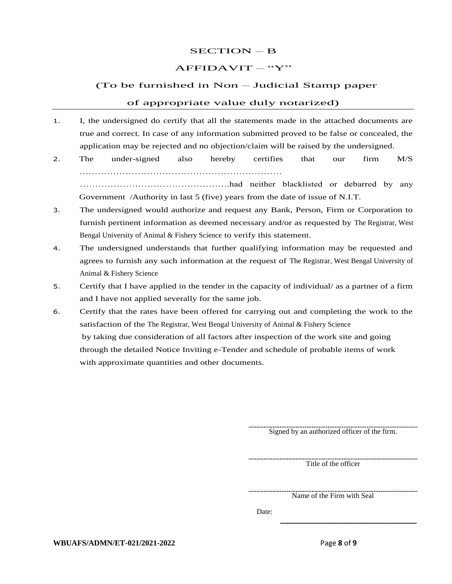#### SECTION – B

#### $AFFIDAVIT - "Y"$

#### (To be furnished in Non – Judicial Stamp paper

#### of appropriate value duly notarized)

- 1. I, the undersigned do certify that all the statements made in the attached documents are true and correct. In case of any information submitted proved to be false or concealed, the application may be rejected and no objection/claim will be raised by the undersigned.
- 2. The under-signed also hereby certifies that our firm M/S ………………………………………………………… ………………………………………….had neither blacklisted or debarred by any Government /Authority in last 5 (five) years from the date of issue of N.I.T.
- 3. The undersigned would authorize and request any Bank, Person, Firm or Corporation to furnish pertinent information as deemed necessary and/or as requested by The Registrar, West Bengal University of Animal & Fishery Science to verify this statement.
- 4. The undersigned understands that further qualifying information may be requested and agrees to furnish any such information at the request of The Registrar, West Bengal University of Animal & Fishery Science
- 5. Certify that I have applied in the tender in the capacity of individual/ as a partner of a firm and I have not applied severally for the same job.
- 6. Certify that the rates have been offered for carrying out and completing the work to the satisfaction of the The Registrar, West Bengal University of Animal & Fishery Science by taking due consideration of all factors after inspection of the work site and going through the detailed Notice Inviting e-Tender and schedule of probable items of work with approximate quantities and other documents.

Signed by an authorized officer of the firm.

Title of the officer

Name of the Firm with Seal

Date: